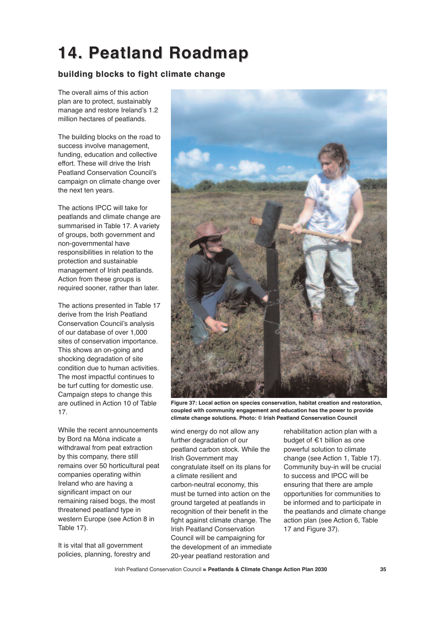# **14. Peatland Roadmap**

### **building blocks to fight climate change**

The overall aims of this action plan are to protect, sustainably manage and restore Ireland's 1.2 million hectares of peatlands.

The building blocks on the road to success involve management, funding, education and collective effort. These will drive the Irish Peatland Conservation Council's campaign on climate change over the next ten years.

The actions IPCC will take for peatlands and climate change are summarised in Table 17. A variety of groups, both government and non-governmental have responsibilities in relation to the protection and sustainable management of Irish peatlands. Action from these groups is required sooner, rather than later.

The actions presented in Table 17 derive from the Irish Peatland Conservation Council's analysis of our database of over 1,000 sites of conservation importance. This shows an on-going and shocking degradation of site condition due to human activities. The most impactful continues to be turf cutting for domestic use. Campaign steps to change this are outlined in Action 10 of Table 17.

While the recent announcements by Bord na Móna indicate a withdrawal from peat extraction by this company, there still remains over 50 horticultural peat companies operating within Ireland who are having a significant impact on our remaining raised bogs, the most threatened peatland type in western Europe (see Action 8 in Table 17).

It is vital that all government policies, planning, forestry and



**Figure 37: Local action on species conservation, habitat creation and restoration, coupled with community engagement and education has the power to provide climate change solutions. Photo: © Irish Peatland Conservation Council**

wind energy do not allow any further degradation of our peatland carbon stock. While the Irish Government may congratulate itself on its plans for a climate resilient and carbon-neutral economy, this must be turned into action on the ground targeted at peatlands in recognition of their benefit in the fight against climate change. The Irish Peatland Conservation Council will be campaigning for the development of an immediate 20-year peatland restoration and

rehabilitation action plan with a budget of €1 billion as one powerful solution to climate change (see Action 1, Table 17). Community buy-in will be crucial to success and IPCC will be ensuring that there are ample opportunities for communities to be informed and to participate in the peatlands and climate change action plan (see Action 6, Table 17 and Figure 37).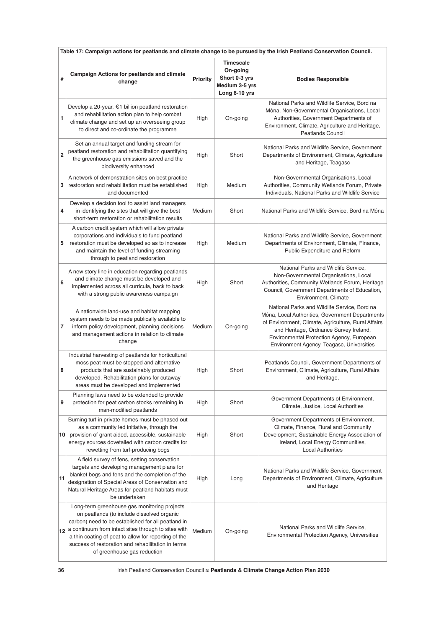| Table 17: Campaign actions for peatlands and climate change to be pursued by the Irish Peatland Conservation Council. |                                                                                                                                                                                                                                                                                                                                                      |                 |                                                                                  |                                                                                                                                                                                                                                                                                            |
|-----------------------------------------------------------------------------------------------------------------------|------------------------------------------------------------------------------------------------------------------------------------------------------------------------------------------------------------------------------------------------------------------------------------------------------------------------------------------------------|-----------------|----------------------------------------------------------------------------------|--------------------------------------------------------------------------------------------------------------------------------------------------------------------------------------------------------------------------------------------------------------------------------------------|
| #                                                                                                                     | <b>Campaign Actions for peatlands and climate</b><br>change                                                                                                                                                                                                                                                                                          | <b>Priority</b> | <b>Timescale</b><br>On-going<br>Short 0-3 yrs<br>Medium 3-5 yrs<br>Long 6-10 yrs | <b>Bodies Responsible</b>                                                                                                                                                                                                                                                                  |
| 1                                                                                                                     | Develop a 20-year, $\epsilon$ 1 billion peatland restoration<br>and rehabilitation action plan to help combat<br>climate change and set up an overseeing group<br>to direct and co-ordinate the programme                                                                                                                                            | High            | On-going                                                                         | National Parks and Wildlife Service, Bord na<br>Móna, Non-Governmental Organisations, Local<br>Authorities, Government Departments of<br>Environment, Climate, Agriculture and Heritage,<br><b>Peatlands Council</b>                                                                       |
| $\overline{2}$                                                                                                        | Set an annual target and funding stream for<br>peatland restoration and rehabilitation quantifying<br>the greenhouse gas emissions saved and the<br>biodiversity enhanced                                                                                                                                                                            | High            | Short                                                                            | National Parks and Wildlife Service, Government<br>Departments of Environment, Climate, Agriculture<br>and Heritage, Teagasc                                                                                                                                                               |
| 3                                                                                                                     | A network of demonstration sites on best practice<br>restoration and rehabilitation must be established<br>and documented                                                                                                                                                                                                                            | High            | Medium                                                                           | Non-Governmental Organisations, Local<br>Authorities, Community Wetlands Forum, Private<br>Individuals, National Parks and Wildlife Service                                                                                                                                                |
| 4                                                                                                                     | Develop a decision tool to assist land managers<br>in identifying the sites that will give the best<br>short-term restoration or rehabilitation results                                                                                                                                                                                              | Medium          | Short                                                                            | National Parks and Wildlife Service, Bord na Móna                                                                                                                                                                                                                                          |
| 5                                                                                                                     | A carbon credit system which will allow private<br>corporations and individuals to fund peatland<br>restoration must be developed so as to increase<br>and maintain the level of funding streaming<br>through to peatland restoration                                                                                                                | High            | Medium                                                                           | National Parks and Wildlife Service, Government<br>Departments of Environment, Climate, Finance,<br>Public Expenditure and Reform                                                                                                                                                          |
| 6                                                                                                                     | A new story line in education regarding peatlands<br>and climate change must be developed and<br>implemented across all curricula, back to back<br>with a strong public awareness campaign                                                                                                                                                           | High            | Short                                                                            | National Parks and Wildlife Service,<br>Non-Governmental Organisations, Local<br>Authorities, Community Wetlands Forum, Heritage<br>Council, Government Departments of Education,<br>Environment, Climate                                                                                  |
| 7                                                                                                                     | A nationwide land-use and habitat mapping<br>system needs to be made publically available to<br>inform policy development, planning decisions<br>and management actions in relation to climate<br>change                                                                                                                                             | Medium          | On-going                                                                         | National Parks and Wildlife Service, Bord na<br>Móna, Local Authorities, Government Departments<br>of Environment, Climate, Agriculture, Rural Affairs<br>and Heritage, Ordnance Survey Ireland,<br>Environmental Protection Agency, European<br>Environment Agency, Teagasc, Universities |
| 8                                                                                                                     | Industrial harvesting of peatlands for horticultural<br>moss peat must be stopped and alternative<br>products that are sustainably produced<br>developed. Rehabilitation plans for cutaway<br>areas must be developed and implemented                                                                                                                | High            | Short                                                                            | Peatlands Council, Government Departments of<br>Environment, Climate, Agriculture, Rural Affairs<br>and Heritage,                                                                                                                                                                          |
| 9                                                                                                                     | Planning laws need to be extended to provide<br>protection for peat carbon stocks remaining in<br>man-modified peatlands                                                                                                                                                                                                                             | High            | Short                                                                            | Government Departments of Environment,<br>Climate, Justice, Local Authorities                                                                                                                                                                                                              |
| 10                                                                                                                    | Burning turf in private homes must be phased out<br>as a community led initiative, through the<br>provision of grant aided, accessible, sustainable<br>energy sources dovetailed with carbon credits for<br>rewetting from turf-producing bogs                                                                                                       | High            | Short                                                                            | Government Departments of Environment,<br>Climate, Finance, Rural and Community<br>Development, Sustainable Energy Association of<br>Ireland, Local Energy Communities,<br><b>Local Authorities</b>                                                                                        |
| 11                                                                                                                    | A field survey of fens, setting conservation<br>targets and developing management plans for<br>blanket bogs and fens and the completion of the<br>designation of Special Areas of Conservation and<br>Natural Heritage Areas for peatland habitats must<br>be undertaken                                                                             | High            | Long                                                                             | National Parks and Wildlife Service, Government<br>Departments of Environment, Climate, Agriculture<br>and Heritage                                                                                                                                                                        |
| 12                                                                                                                    | Long-term greenhouse gas monitoring projects<br>on peatlands (to include dissolved organic<br>carbon) need to be established for all peatland in<br>a continuum from intact sites through to sites with<br>a thin coating of peat to allow for reporting of the<br>success of restoration and rehabilitation in terms<br>of greenhouse gas reduction | Medium          | On-going                                                                         | National Parks and Wildlife Service,<br><b>Environmental Protection Agency, Universities</b>                                                                                                                                                                                               |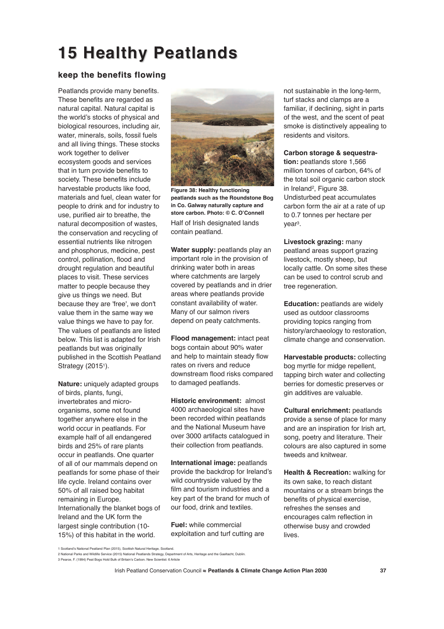# **15 Healthy Peatlands**

#### **keep the benefits flowing**

Peatlands provide many benefits. These benefits are regarded as natural capital. Natural capital is the world's stocks of physical and biological resources, including air, water, minerals, soils, fossil fuels and all living things. These stocks work together to deliver ecosystem goods and services that in turn provide benefits to society. These benefits include harvestable products like food, materials and fuel, clean water for people to drink and for industry to use, purified air to breathe, the natural decomposition of wastes, the conservation and recycling of essential nutrients like nitrogen and phosphorus, medicine, pest control, pollination, flood and drought regulation and beautiful places to visit. These services matter to people because they give us things we need. But because they are 'free', we don't value them in the same way we value things we have to pay for. The values of peatlands are listed below. This list is adapted for Irish peatlands but was originally published in the Scottish Peatland Strategy (2015<sup>1</sup>).

**Nature:** uniquely adapted groups of birds, plants, fungi, invertebrates and microorganisms, some not found together anywhere else in the world occur in peatlands. For example half of all endangered birds and 25% of rare plants occur in peatlands. One quarter of all of our mammals depend on peatlands for some phase of their life cycle. Ireland contains over 50% of all raised bog habitat remaining in Europe. Internationally the blanket bogs of Ireland and the UK form the largest single contribution (10- 15%) of this habitat in the world.



Half of Irish designated lands contain peatland. **Figure 38: Healthy functioning peatlands such as the Roundstone Bog in Co. Galway naturally capture and store carbon. Photo: © C. O'Connell**

**Water supply:** peatlands play an important role in the provision of drinking water both in areas where catchments are largely covered by peatlands and in drier areas where peatlands provide constant availability of water. Many of our salmon rivers depend on peaty catchments.

**Flood management:** intact peat bogs contain about 90% water and help to maintain steady flow rates on rivers and reduce downstream flood risks compared to damaged peatlands.

**Historic environment:** almost 4000 archaeological sites have been recorded within peatlands and the National Museum have over 3000 artifacts catalogued in their collection from peatlands.

**International image:** peatlands provide the backdrop for Ireland's wild countryside valued by the film and tourism industries and a key part of the brand for much of our food, drink and textiles.

**Fuel:** while commercial exploitation and turf cutting are not sustainable in the long-term, turf stacks and clamps are a familiar, if declining, sight in parts of the west, and the scent of peat smoke is distinctively appealing to residents and visitors.

#### **Carbon storage & sequestra-**

**tion:** peatlands store 1,566 million tonnes of carbon, 64% of the total soil organic carbon stock in Ireland<sup>2</sup>, Figure 38. Undisturbed peat accumulates carbon form the air at a rate of up to 0.7 tonnes per hectare per year3.

**Livestock grazing:** many peatland areas support grazing livestock, mostly sheep, but locally cattle. On some sites these can be used to control scrub and tree regeneration.

**Education:** peatlands are widely used as outdoor classrooms providing topics ranging from history/archaeology to restoration, climate change and conservation.

**Harvestable products:** collecting bog myrtle for midge repellent, tapping birch water and collecting berries for domestic preserves or gin additives are valuable.

**Cultural enrichment:** peatlands provide a sense of place for many and are an inspiration for Irish art, song, poetry and literature. Their colours are also captured in some tweeds and knitwear.

**Health & Recreation:** walking for its own sake, to reach distant mountains or a stream brings the benefits of physical exercise, refreshes the senses and encourages calm reflection in otherwise busy and crowded lives.

<sup>1</sup> Scotland's National Peatland Plan (2015), Scottish Natural Heritage, Scotland.

<sup>2</sup> National Parks and Wildlife Service (2015) National Peatlands Strategy, Department of Arts, Heritage and the Gaeltacht, Dublin.

<sup>3</sup> Pearce, F. (1994) Peat Bogs Hold Bulk of Britain's Carbon. New Scientist: 6 Article